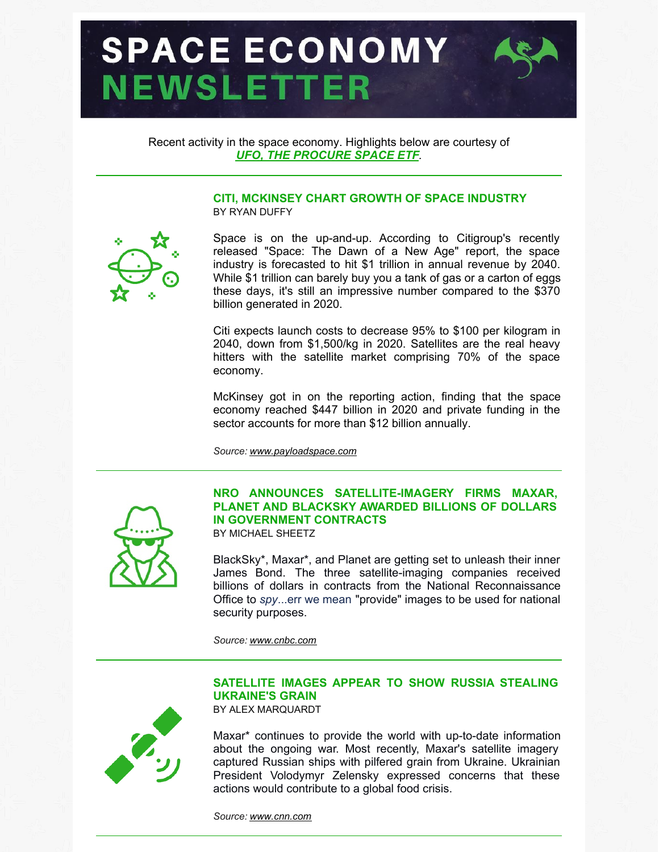# **SPACE ECONOMY NEWSLETTER**



Recent activity in the space economy. Highlights below are courtesy of *UFO, THE [PROCURE](https://procureetfs.com/ufo/) SPACE ETF*.

#### **CITI, MCKINSEY CHART GROWTH OF SPACE INDUSTRY** BY RYAN DUFFY



Space is on the up-and-up. According to Citigroup's recently released "Space: The Dawn of a New Age" report, the space industry is forecasted to hit \$1 trillion in annual revenue by 2040. While \$1 trillion can barely buy you a tank of gas or a carton of eggs these days, it's still an impressive number compared to the \$370 billion generated in 2020.

Citi expects launch costs to decrease 95% to \$100 per kilogram in 2040, down from \$1,500/kg in 2020. Satellites are the real heavy hitters with the satellite market comprising 70% of the space economy.

McKinsey got in on the reporting action, finding that the space economy reached \$447 billion in 2020 and private funding in the sector accounts for more than \$12 billion annually.

*Source: [www.payloadspace.com](http://www.payloadspace.com)*



## **NRO ANNOUNCES SATELLITE-IMAGERY FIRMS MAXAR, PLANET AND BLACKSKY AWARDED BILLIONS OF DOLLARS IN GOVERNMENT CONTRACTS**

BY MICHAEL SHEETZ

BlackSky\*, Maxar\*, and Planet are getting set to unleash their inner James Bond. The three satellite-imaging companies received billions of dollars in contracts from the National Reconnaissance Office to *spy*...err we mean "provide" images to be used for national security purposes.

*Source: [www.cnbc.com](http://www.cnbc.com)*



## **SATELLITE IMAGES APPEAR TO SHOW RUSSIA STEALING UKRAINE'S GRAIN**

BY ALEX MARQUARDT

Maxar\* continues to provide the world with up-to-date information about the ongoing war. Most recently, Maxar's satellite imagery captured Russian ships with pilfered grain from Ukraine. Ukrainian President Volodymyr Zelensky expressed concerns that these actions would contribute to a global food crisis.

*Source: [www.cnn.com](http://www.cnn.com)*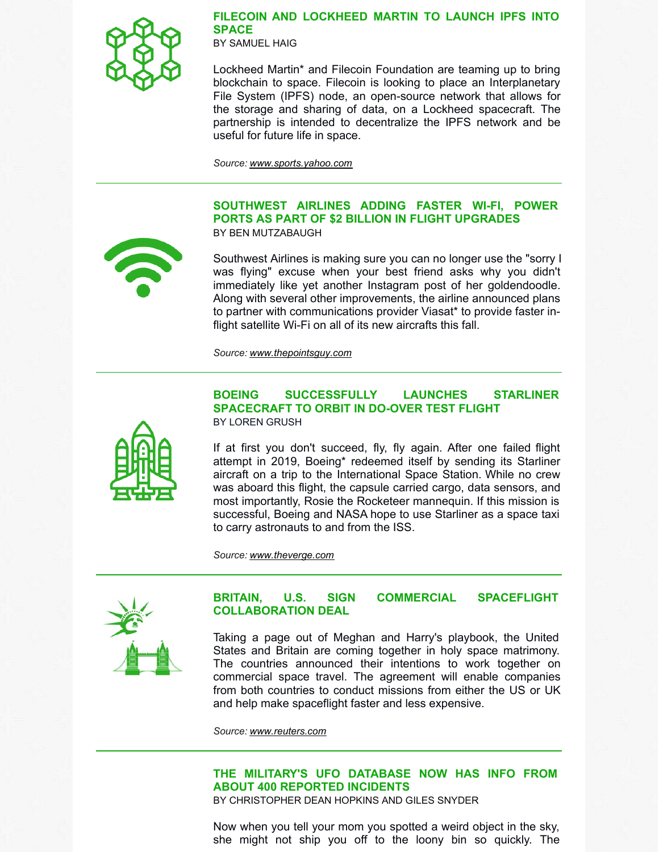

#### **FILECOIN AND LOCKHEED MARTIN TO LAUNCH IPFS INTO SPACE**

BY SAMUEL HAIG

Lockheed Martin\* and Filecoin Foundation are teaming up to bring blockchain to space. Filecoin is looking to place an Interplanetary File System (IPFS) node, an open-source network that allows for the storage and sharing of data, on a Lockheed spacecraft. The partnership is intended to decentralize the IPFS network and be useful for future life in space.

*Source: [www.sports.yahoo.com](http://www.sports.yahoo.com)*

#### **SOUTHWEST AIRLINES ADDING FASTER WI-FI, POWER PORTS AS PART OF \$2 BILLION IN FLIGHT UPGRADES** BY BEN MUTZABAUGH

Southwest Airlines is making sure you can no longer use the "sorry I was flying" excuse when your best friend asks why you didn't immediately like yet another Instagram post of her goldendoodle. Along with several other improvements, the airline announced plans to partner with communications provider Viasat\* to provide faster inflight satellite Wi-Fi on all of its new aircrafts this fall.

*Source: [www.thepointsguy.com](http://www.thepointsguy.com)*

## **BOEING SUCCESSFULLY LAUNCHES STARLINER SPACECRAFT TO ORBIT IN DO-OVER TEST FLIGHT** BY LOREN GRUSH

If at first you don't succeed, fly, fly again. After one failed flight attempt in 2019, Boeing\* redeemed itself by sending its Starliner aircraft on a trip to the International Space Station. While no crew was aboard this flight, the capsule carried cargo, data sensors, and most importantly, Rosie the Rocketeer mannequin. If this mission is successful, Boeing and NASA hope to use Starliner as a space taxi to carry astronauts to and from the ISS.

*Source: [www.theverge.com](http://www.theverge.com)*



### **BRITAIN, U.S. SIGN COMMERCIAL SPACEFLIGHT COLLABORATION DEAL**

Taking a page out of Meghan and Harry's playbook, the United States and Britain are coming together in holy space matrimony. The countries announced their intentions to work together on commercial space travel. The agreement will enable companies from both countries to conduct missions from either the US or UK and help make spaceflight faster and less expensive.

*Source: [www.reuters.com](http://www.reuters.com)*

## **THE MILITARY'S UFO DATABASE NOW HAS INFO FROM ABOUT 400 REPORTED INCIDENTS**

BY CHRISTOPHER DEAN HOPKINS AND GILES SNYDER

Now when you tell your mom you spotted a weird object in the sky, she might not ship you off to the loony bin so quickly. The

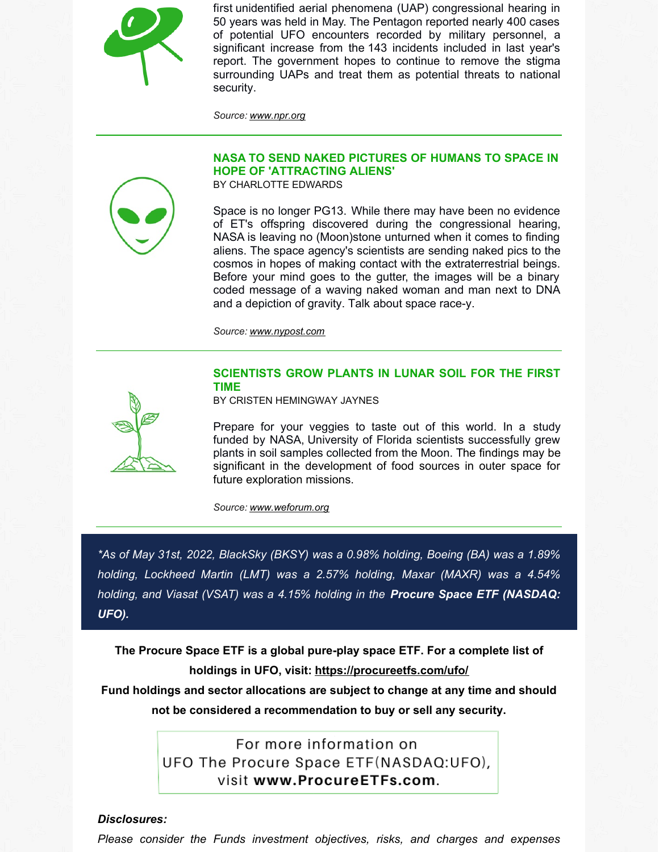

first unidentified aerial phenomena (UAP) congressional hearing in 50 years was held in May. The Pentagon reported nearly 400 cases of potential UFO encounters recorded by military personnel, a significant increase from the 143 incidents included in last year's report. The government hopes to continue to remove the stigma surrounding UAPs and treat them as potential threats to national security.

*Source: [www.npr.org](http://www.npr.org)*

## **NASA TO SEND NAKED PICTURES OF HUMANS TO SPACE IN HOPE OF 'ATTRACTING ALIENS'**



BY CHARLOTTE EDWARDS

Space is no longer PG13. While there may have been no evidence of ET's offspring discovered during the congressional hearing, NASA is leaving no (Moon)stone unturned when it comes to finding aliens. The space agency's scientists are sending naked pics to the cosmos in hopes of making contact with the extraterrestrial beings. Before your mind goes to the gutter, the images will be a binary coded message of a waving naked woman and man next to DNA and a depiction of gravity. Talk about space race-y.

*Source: [www.nypost.com](http://www.nypost.com)*

#### **SCIENTISTS GROW PLANTS IN LUNAR SOIL FOR THE FIRST TIME**

BY CRISTEN HEMINGWAY JAYNES

Prepare for your veggies to taste out of this world. In a study funded by NASA, University of Florida scientists successfully grew plants in soil samples collected from the Moon. The findings may be significant in the development of food sources in outer space for future exploration missions.

*Source: [www.weforum.org](http://www.weforum.org)*

*\*As of May 31st, 2022, BlackSky (BKSY) was a 0.98% holding, Boeing (BA) was a 1.89% holding, Lockheed Martin (LMT) was a 2.57% holding, Maxar (MAXR) was a 4.54% holding, and Viasat (VSAT) was a 4.15% holding in the Procure Space ETF (NASDAQ: UFO).*

**The Procure Space ETF is a global pure-play space ETF. For a complete list of holdings in UFO, visit: <https://procureetfs.com/ufo/>**

**Fund holdings and sector allocations are subject to change at any time and should not be considered a recommendation to buy or sell any security.**

> For more information on UFO The Procure Space ETF(NASDAQ:UFO), visit www.ProcureETFs.com.

#### *Disclosures:*

*Please consider the Funds investment objectives, risks, and charges and expenses*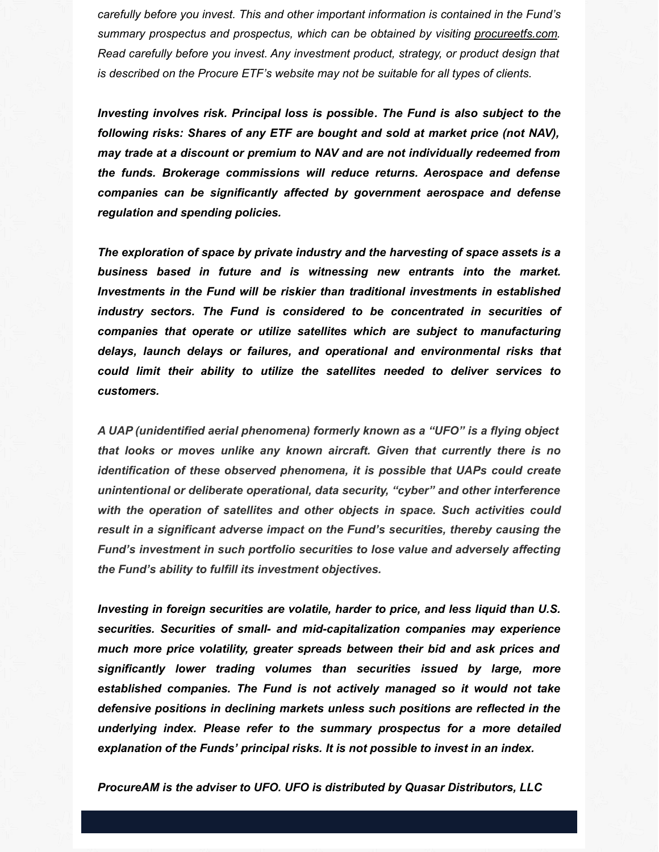*carefully before you invest. This and other important information is contained in the Fund's summary prospectus and prospectus, which can be obtained by visiting [procureetfs.com](http://procureetfs.com). Read carefully before you invest. Any investment product, strategy, or product design that is described on the Procure ETF's website may not be suitable for all types of clients.*

*Investing involves risk. Principal loss is possible. The Fund is also subject to the following risks: Shares of any ETF are bought and sold at market price (not NAV), may trade at a discount or premium to NAV and are not individually redeemed from the funds. Brokerage commissions will reduce returns. Aerospace and defense companies can be significantly affected by government aerospace and defense regulation and spending policies.*

*The exploration of space by private industry and the harvesting of space assets is a business based in future and is witnessing new entrants into the market. Investments in the Fund will be riskier than traditional investments in established industry sectors. The Fund is considered to be concentrated in securities of companies that operate or utilize satellites which are subject to manufacturing delays, launch delays or failures, and operational and environmental risks that could limit their ability to utilize the satellites needed to deliver services to customers.*

*A UAP (unidentified aerial phenomena) formerly known as a "UFO" is a flying object that looks or moves unlike any known aircraft. Given that currently there is no identification of these observed phenomena, it is possible that UAPs could create unintentional or deliberate operational, data security, "cyber" and other interference with the operation of satellites and other objects in space. Such activities could result in a significant adverse impact on the Fund's securities, thereby causing the Fund's investment in such portfolio securities to lose value and adversely affecting the Fund's ability to fulfill its investment objectives.*

*Investing in foreign securities are volatile, harder to price, and less liquid than U.S. securities. Securities of small- and mid-capitalization companies may experience much more price volatility, greater spreads between their bid and ask prices and significantly lower trading volumes than securities issued by large, more established companies. The Fund is not actively managed so it would not take defensive positions in declining markets unless such positions are reflected in the underlying index. Please refer to the summary prospectus for a more detailed explanation of the Funds' principal risks. It is not possible to invest in an index.*

*ProcureAM is the adviser to UFO. UFO is distributed by Quasar Distributors, LLC*